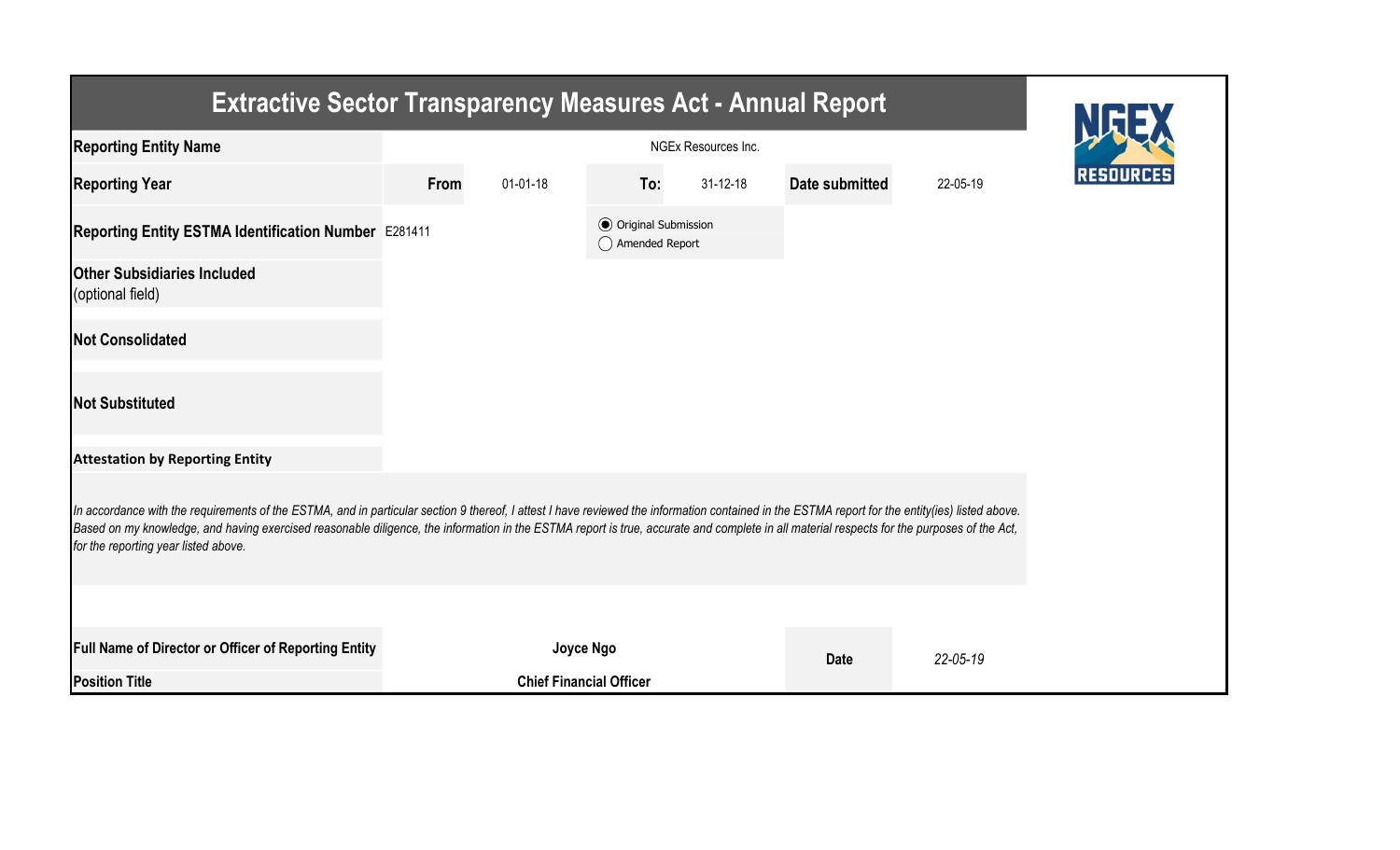| <b>Extractive Sector Transparency Measures Act - Annual Report</b>                                                                                                                                                                                                                                                                                                                                                                    |      |                                |                                                  |                |                |                |  |  |  |  |
|---------------------------------------------------------------------------------------------------------------------------------------------------------------------------------------------------------------------------------------------------------------------------------------------------------------------------------------------------------------------------------------------------------------------------------------|------|--------------------------------|--------------------------------------------------|----------------|----------------|----------------|--|--|--|--|
| <b>Reporting Entity Name</b>                                                                                                                                                                                                                                                                                                                                                                                                          |      |                                |                                                  |                |                |                |  |  |  |  |
| <b>Reporting Year</b>                                                                                                                                                                                                                                                                                                                                                                                                                 | From | $01 - 01 - 18$                 | To:                                              | $31 - 12 - 18$ | Date submitted | 22-05-19       |  |  |  |  |
| Reporting Entity ESTMA Identification Number E281411                                                                                                                                                                                                                                                                                                                                                                                  |      |                                | <b>◎</b> Original Submission<br>◯ Amended Report |                |                |                |  |  |  |  |
| <b>Other Subsidiaries Included</b><br>(optional field)                                                                                                                                                                                                                                                                                                                                                                                |      |                                |                                                  |                |                |                |  |  |  |  |
| <b>Not Consolidated</b>                                                                                                                                                                                                                                                                                                                                                                                                               |      |                                |                                                  |                |                |                |  |  |  |  |
| <b>Not Substituted</b>                                                                                                                                                                                                                                                                                                                                                                                                                |      |                                |                                                  |                |                |                |  |  |  |  |
| <b>Attestation by Reporting Entity</b>                                                                                                                                                                                                                                                                                                                                                                                                |      |                                |                                                  |                |                |                |  |  |  |  |
| In accordance with the requirements of the ESTMA, and in particular section 9 thereof, I attest I have reviewed the information contained in the ESTMA report for the entity(ies) listed above.<br>Based on my knowledge, and having exercised reasonable diligence, the information in the ESTMA report is true, accurate and complete in all material respects for the purposes of the Act,<br>for the reporting year listed above. |      |                                |                                                  |                |                |                |  |  |  |  |
|                                                                                                                                                                                                                                                                                                                                                                                                                                       |      |                                |                                                  |                |                |                |  |  |  |  |
| Full Name of Director or Officer of Reporting Entity                                                                                                                                                                                                                                                                                                                                                                                  |      | Joyce Ngo                      |                                                  |                | <b>Date</b>    | $22 - 05 - 19$ |  |  |  |  |
| <b>Position Title</b>                                                                                                                                                                                                                                                                                                                                                                                                                 |      | <b>Chief Financial Officer</b> |                                                  |                |                |                |  |  |  |  |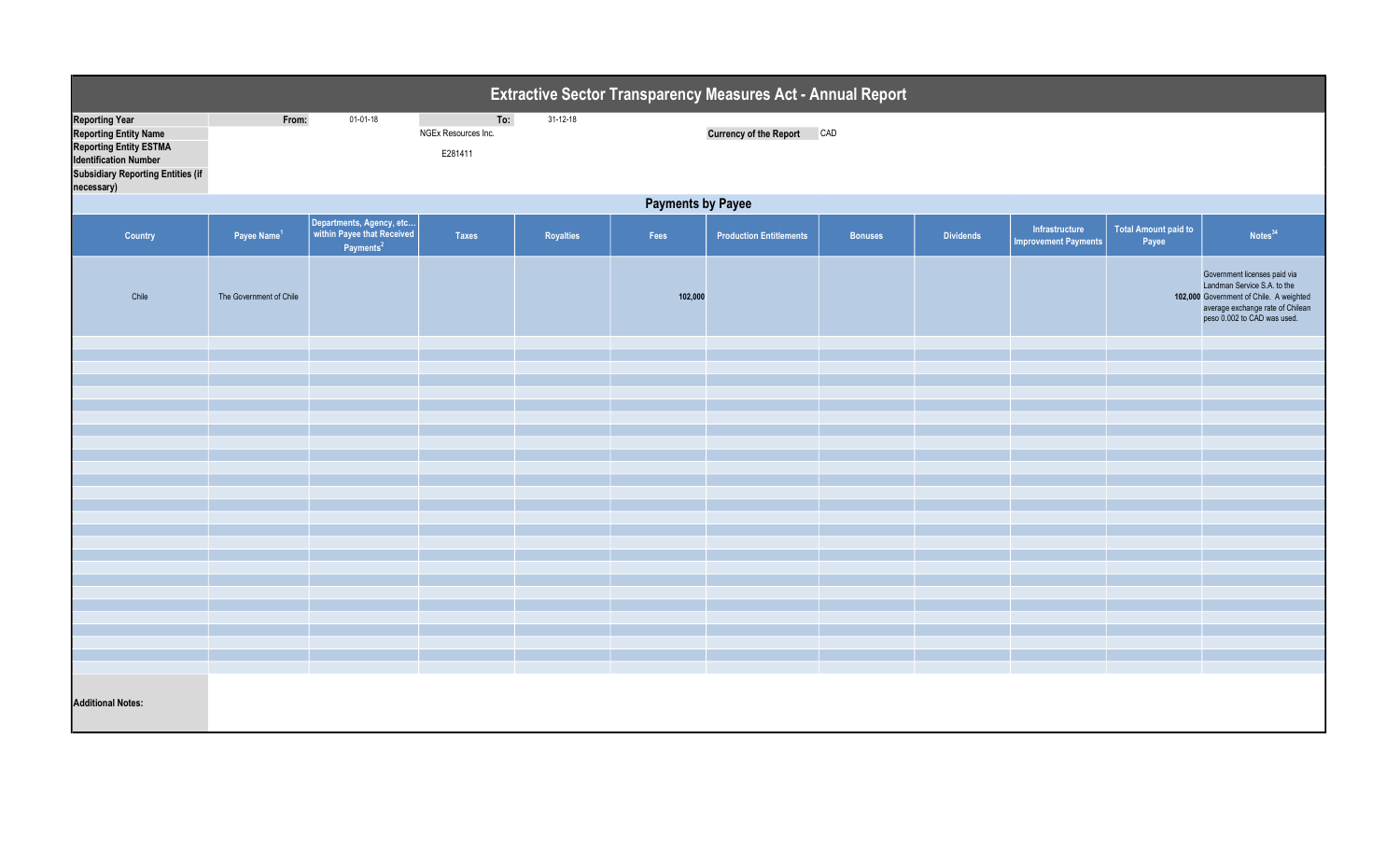| Extractive Sector Transparency Measures Act - Annual Report                                                                                                                      |                          |                                                                        |                                       |                |         |                                |                |                  |                                               |                                      |                                                                                                                                                                           |  |
|----------------------------------------------------------------------------------------------------------------------------------------------------------------------------------|--------------------------|------------------------------------------------------------------------|---------------------------------------|----------------|---------|--------------------------------|----------------|------------------|-----------------------------------------------|--------------------------------------|---------------------------------------------------------------------------------------------------------------------------------------------------------------------------|--|
| <b>Reporting Year</b><br><b>Reporting Entity Name</b><br><b>Reporting Entity ESTMA</b><br><b>Identification Number</b><br><b>Subsidiary Reporting Entities (if</b><br>necessary) | From:                    | $01-01-18$                                                             | To:<br>NGEx Resources Inc.<br>E281411 | $31 - 12 - 18$ |         | Currency of the Report CAD     |                |                  |                                               |                                      |                                                                                                                                                                           |  |
|                                                                                                                                                                                  | <b>Payments by Payee</b> |                                                                        |                                       |                |         |                                |                |                  |                                               |                                      |                                                                                                                                                                           |  |
| Country                                                                                                                                                                          | Payee Name <sup>1</sup>  | Departments, Agency, etc<br>within Payee that Received<br>Payments $2$ | <b>Taxes</b>                          | Royalties      | Fees    | <b>Production Entitlements</b> | <b>Bonuses</b> | <b>Dividends</b> | Infrastructure<br><b>Improvement Payments</b> | <b>Total Amount paid to</b><br>Payee | Notes <sup>34</sup>                                                                                                                                                       |  |
| Chile                                                                                                                                                                            | The Government of Chile  |                                                                        |                                       |                | 102,000 |                                |                |                  |                                               |                                      | Government licenses paid via<br>Landman Service S.A. to the<br>102,000 Government of Chile. A weighted<br>average exchange rate of Chilean<br>peso 0.002 to CAD was used. |  |
|                                                                                                                                                                                  |                          |                                                                        |                                       |                |         |                                |                |                  |                                               |                                      |                                                                                                                                                                           |  |
|                                                                                                                                                                                  |                          |                                                                        |                                       |                |         |                                |                |                  |                                               |                                      |                                                                                                                                                                           |  |
|                                                                                                                                                                                  |                          |                                                                        |                                       |                |         |                                |                |                  |                                               |                                      |                                                                                                                                                                           |  |
|                                                                                                                                                                                  |                          |                                                                        |                                       |                |         |                                |                |                  |                                               |                                      |                                                                                                                                                                           |  |
|                                                                                                                                                                                  |                          |                                                                        |                                       |                |         |                                |                |                  |                                               |                                      |                                                                                                                                                                           |  |
|                                                                                                                                                                                  |                          |                                                                        |                                       |                |         |                                |                |                  |                                               |                                      |                                                                                                                                                                           |  |
|                                                                                                                                                                                  |                          |                                                                        |                                       |                |         |                                |                |                  |                                               |                                      |                                                                                                                                                                           |  |
|                                                                                                                                                                                  |                          |                                                                        |                                       |                |         |                                |                |                  |                                               |                                      |                                                                                                                                                                           |  |
|                                                                                                                                                                                  |                          |                                                                        |                                       |                |         |                                |                |                  |                                               |                                      |                                                                                                                                                                           |  |
|                                                                                                                                                                                  |                          |                                                                        |                                       |                |         |                                |                |                  |                                               |                                      |                                                                                                                                                                           |  |
|                                                                                                                                                                                  |                          |                                                                        |                                       |                |         |                                |                |                  |                                               |                                      |                                                                                                                                                                           |  |
|                                                                                                                                                                                  |                          |                                                                        |                                       |                |         |                                |                |                  |                                               |                                      |                                                                                                                                                                           |  |
|                                                                                                                                                                                  |                          |                                                                        |                                       |                |         |                                |                |                  |                                               |                                      |                                                                                                                                                                           |  |
|                                                                                                                                                                                  |                          |                                                                        |                                       |                |         |                                |                |                  |                                               |                                      |                                                                                                                                                                           |  |
| <b>Additional Notes:</b>                                                                                                                                                         |                          |                                                                        |                                       |                |         |                                |                |                  |                                               |                                      |                                                                                                                                                                           |  |